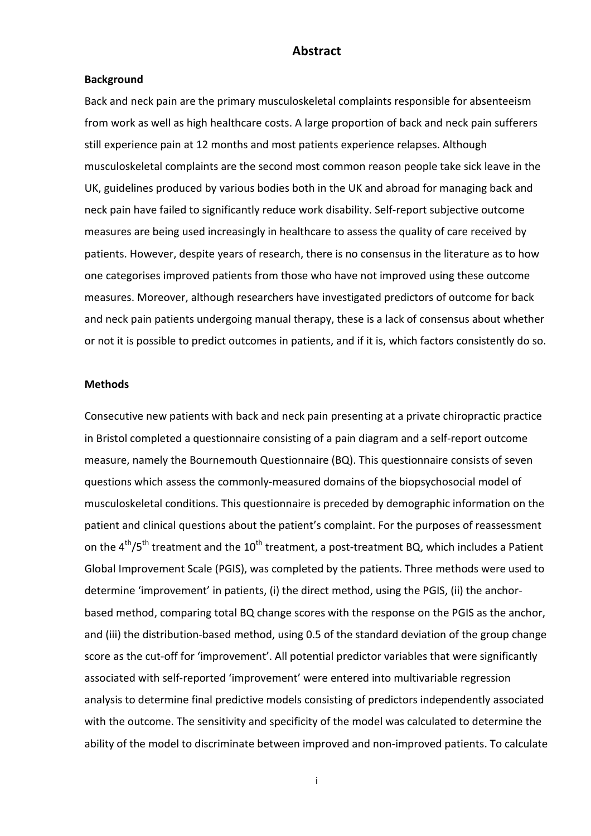### Abstract

#### Background

Back and neck pain are the primary musculoskeletal complaints responsible for absenteeism from work as well as high healthcare costs. A large proportion of back and neck pain sufferers still experience pain at 12 months and most patients experience relapses. Although musculoskeletal complaints are the second most common reason people take sick leave in the UK, guidelines produced by various bodies both in the UK and abroad for managing back and neck pain have failed to significantly reduce work disability. Self-report subjective outcome measures are being used increasingly in healthcare to assess the quality of care received by patients. However, despite years of research, there is no consensus in the literature as to how one categorises improved patients from those who have not improved using these outcome measures. Moreover, although researchers have investigated predictors of outcome for back and neck pain patients undergoing manual therapy, these is a lack of consensus about whether or not it is possible to predict outcomes in patients, and if it is, which factors consistently do so.

### **Methods**

Consecutive new patients with back and neck pain presenting at a private chiropractic practice in Bristol completed a questionnaire consisting of a pain diagram and a self-report outcome measure, namely the Bournemouth Questionnaire (BQ). This questionnaire consists of seven questions which assess the commonly-measured domains of the biopsychosocial model of musculoskeletal conditions. This questionnaire is preceded by demographic information on the patient and clinical questions about the patient's complaint. For the purposes of reassessment on the  $4^{th}/5^{th}$  treatment and the  $10^{th}$  treatment, a post-treatment BQ, which includes a Patient Global Improvement Scale (PGIS), was completed by the patients. Three methods were used to determine 'improvement' in patients, (i) the direct method, using the PGIS, (ii) the anchorbased method, comparing total BQ change scores with the response on the PGIS as the anchor, and (iii) the distribution-based method, using 0.5 of the standard deviation of the group change score as the cut-off for 'improvement'. All potential predictor variables that were significantly associated with self-reported 'improvement' were entered into multivariable regression analysis to determine final predictive models consisting of predictors independently associated with the outcome. The sensitivity and specificity of the model was calculated to determine the ability of the model to discriminate between improved and non-improved patients. To calculate

i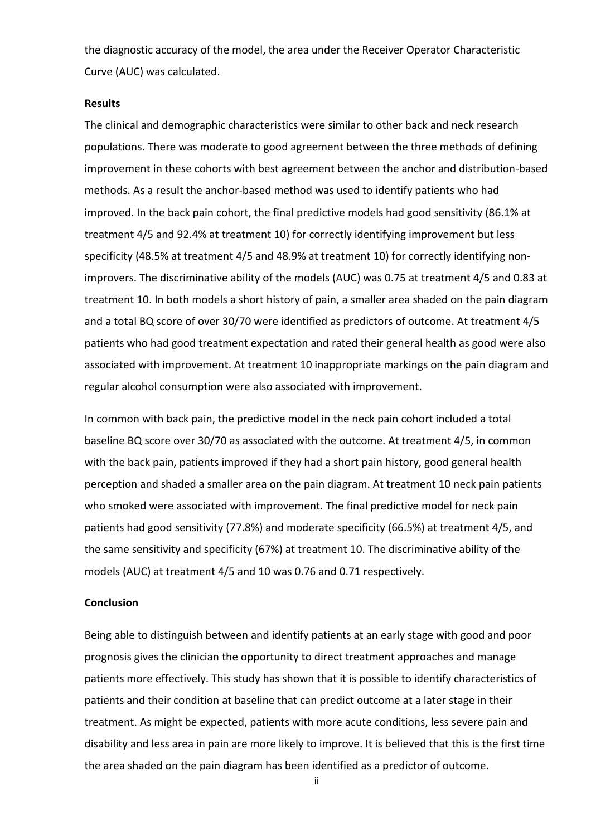the diagnostic accuracy of the model, the area under the Receiver Operator Characteristic Curve (AUC) was calculated.

### **Results**

The clinical and demographic characteristics were similar to other back and neck research populations. There was moderate to good agreement between the three methods of defining improvement in these cohorts with best agreement between the anchor and distribution-based methods. As a result the anchor-based method was used to identify patients who had improved. In the back pain cohort, the final predictive models had good sensitivity (86.1% at treatment 4/5 and 92.4% at treatment 10) for correctly identifying improvement but less specificity (48.5% at treatment 4/5 and 48.9% at treatment 10) for correctly identifying nonimprovers. The discriminative ability of the models (AUC) was 0.75 at treatment 4/5 and 0.83 at treatment 10. In both models a short history of pain, a smaller area shaded on the pain diagram and a total BQ score of over 30/70 were identified as predictors of outcome. At treatment 4/5 patients who had good treatment expectation and rated their general health as good were also associated with improvement. At treatment 10 inappropriate markings on the pain diagram and regular alcohol consumption were also associated with improvement.

In common with back pain, the predictive model in the neck pain cohort included a total baseline BQ score over 30/70 as associated with the outcome. At treatment 4/5, in common with the back pain, patients improved if they had a short pain history, good general health perception and shaded a smaller area on the pain diagram. At treatment 10 neck pain patients who smoked were associated with improvement. The final predictive model for neck pain patients had good sensitivity (77.8%) and moderate specificity (66.5%) at treatment 4/5, and the same sensitivity and specificity (67%) at treatment 10. The discriminative ability of the models (AUC) at treatment 4/5 and 10 was 0.76 and 0.71 respectively.

### **Conclusion**

Being able to distinguish between and identify patients at an early stage with good and poor prognosis gives the clinician the opportunity to direct treatment approaches and manage patients more effectively. This study has shown that it is possible to identify characteristics of patients and their condition at baseline that can predict outcome at a later stage in their treatment. As might be expected, patients with more acute conditions, less severe pain and disability and less area in pain are more likely to improve. It is believed that this is the first time the area shaded on the pain diagram has been identified as a predictor of outcome.

ii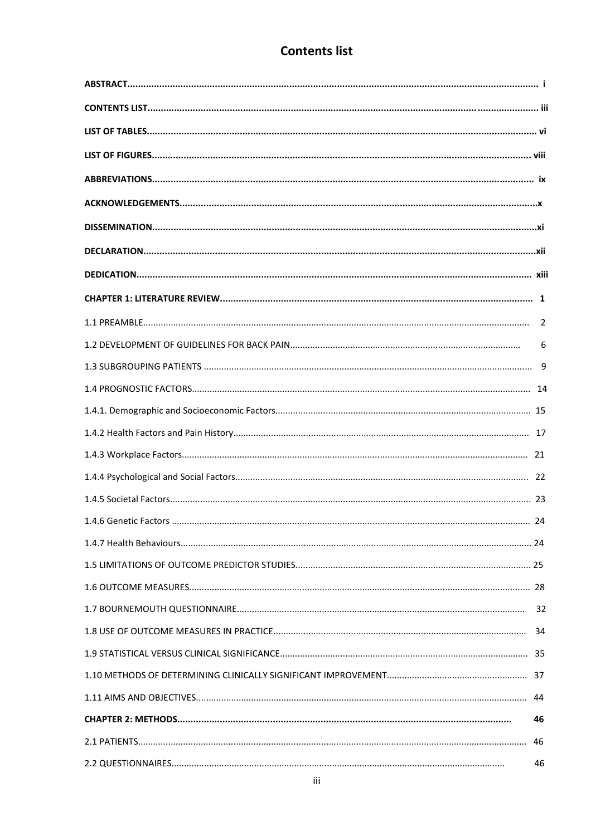## **Contents list**

|    | 6  |
|----|----|
|    |    |
|    |    |
|    |    |
|    |    |
|    |    |
|    |    |
|    |    |
| 24 |    |
|    |    |
|    |    |
|    |    |
|    |    |
|    |    |
|    |    |
|    |    |
|    |    |
|    | 46 |
|    | 46 |
|    | 46 |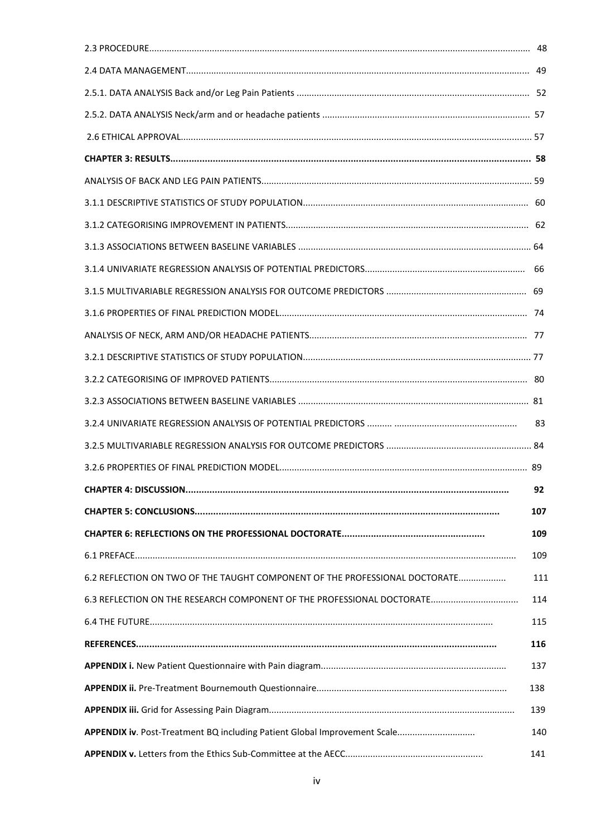|                                                                             | 92  |  |  |
|-----------------------------------------------------------------------------|-----|--|--|
|                                                                             | 107 |  |  |
|                                                                             | 109 |  |  |
|                                                                             | 109 |  |  |
| 6.2 REFLECTION ON TWO OF THE TAUGHT COMPONENT OF THE PROFESSIONAL DOCTORATE | 111 |  |  |
|                                                                             | 114 |  |  |
|                                                                             | 115 |  |  |
|                                                                             | 116 |  |  |
|                                                                             | 137 |  |  |
|                                                                             | 138 |  |  |
|                                                                             | 139 |  |  |
|                                                                             | 140 |  |  |
| 141                                                                         |     |  |  |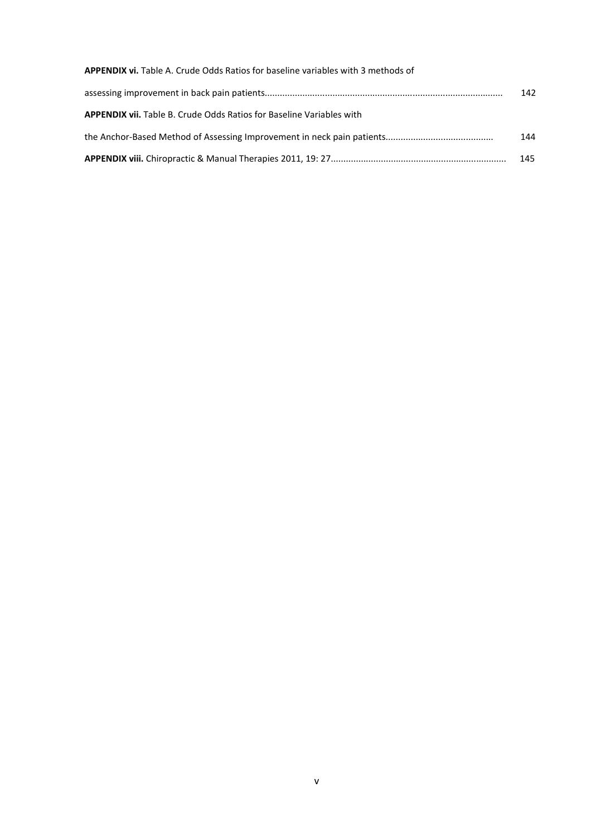| <b>APPENDIX vi.</b> Table A. Crude Odds Ratios for baseline variables with 3 methods of |     |
|-----------------------------------------------------------------------------------------|-----|
|                                                                                         | 142 |
| <b>APPENDIX vii.</b> Table B. Crude Odds Ratios for Baseline Variables with             |     |
|                                                                                         | 144 |
|                                                                                         | 145 |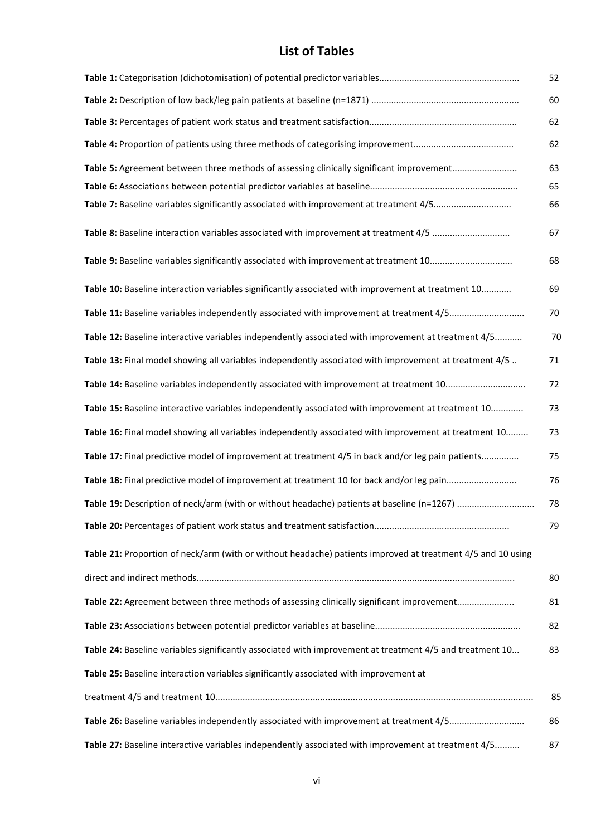## List of Tables

|                                                                                                             | 52 |  |  |
|-------------------------------------------------------------------------------------------------------------|----|--|--|
|                                                                                                             | 60 |  |  |
|                                                                                                             |    |  |  |
|                                                                                                             | 62 |  |  |
| Table 5: Agreement between three methods of assessing clinically significant improvement                    | 63 |  |  |
|                                                                                                             | 65 |  |  |
| Table 7: Baseline variables significantly associated with improvement at treatment 4/5                      | 66 |  |  |
| Table 8: Baseline interaction variables associated with improvement at treatment 4/5                        | 67 |  |  |
|                                                                                                             | 68 |  |  |
| Table 10: Baseline interaction variables significantly associated with improvement at treatment 10          | 69 |  |  |
| Table 11: Baseline variables independently associated with improvement at treatment 4/5                     | 70 |  |  |
| Table 12: Baseline interactive variables independently associated with improvement at treatment 4/5         | 70 |  |  |
| Table 13: Final model showing all variables independently associated with improvement at treatment 4/5      | 71 |  |  |
|                                                                                                             | 72 |  |  |
| Table 15: Baseline interactive variables independently associated with improvement at treatment 10          | 73 |  |  |
| Table 16: Final model showing all variables independently associated with improvement at treatment 10       | 73 |  |  |
| Table 17: Final predictive model of improvement at treatment 4/5 in back and/or leg pain patients           | 75 |  |  |
| Table 18: Final predictive model of improvement at treatment 10 for back and/or leg pain                    | 76 |  |  |
|                                                                                                             | 78 |  |  |
|                                                                                                             | 79 |  |  |
| Table 21: Proportion of neck/arm (with or without headache) patients improved at treatment 4/5 and 10 using |    |  |  |
|                                                                                                             | 80 |  |  |
| Table 22: Agreement between three methods of assessing clinically significant improvement                   | 81 |  |  |
|                                                                                                             | 82 |  |  |
| Table 24: Baseline variables significantly associated with improvement at treatment 4/5 and treatment 10    | 83 |  |  |
| Table 25: Baseline interaction variables significantly associated with improvement at                       |    |  |  |
|                                                                                                             | 85 |  |  |
| Table 26: Baseline variables independently associated with improvement at treatment 4/5                     | 86 |  |  |
| Table 27: Baseline interactive variables independently associated with improvement at treatment 4/5         | 87 |  |  |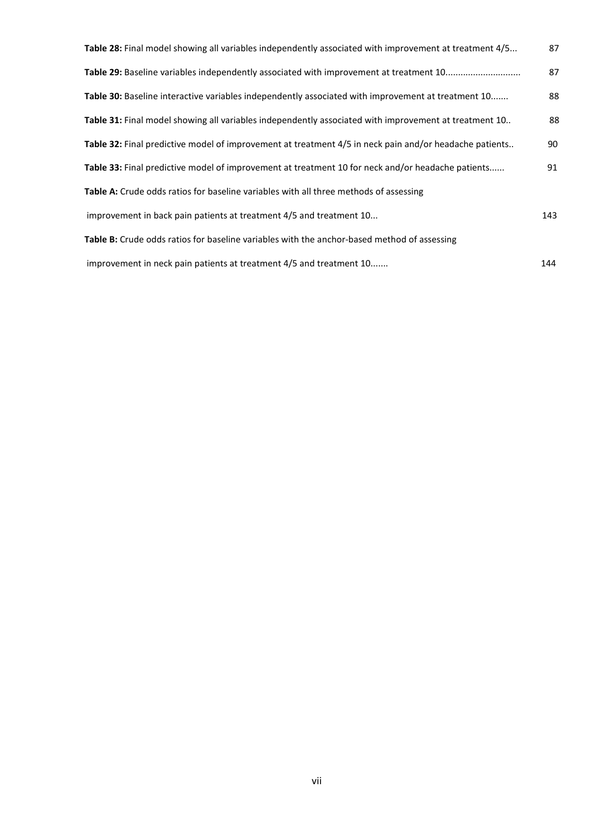| Table 28: Final model showing all variables independently associated with improvement at treatment 4/5 | 87  |
|--------------------------------------------------------------------------------------------------------|-----|
| Table 29: Baseline variables independently associated with improvement at treatment 10                 | 87  |
| Table 30: Baseline interactive variables independently associated with improvement at treatment 10     | 88  |
| Table 31: Final model showing all variables independently associated with improvement at treatment 10  | 88  |
| Table 32: Final predictive model of improvement at treatment 4/5 in neck pain and/or headache patients | 90  |
| Table 33: Final predictive model of improvement at treatment 10 for neck and/or headache patients      | 91  |
| Table A: Crude odds ratios for baseline variables with all three methods of assessing                  |     |
| improvement in back pain patients at treatment 4/5 and treatment 10                                    | 143 |
| Table B: Crude odds ratios for baseline variables with the anchor-based method of assessing            |     |
| improvement in neck pain patients at treatment 4/5 and treatment 10                                    | 144 |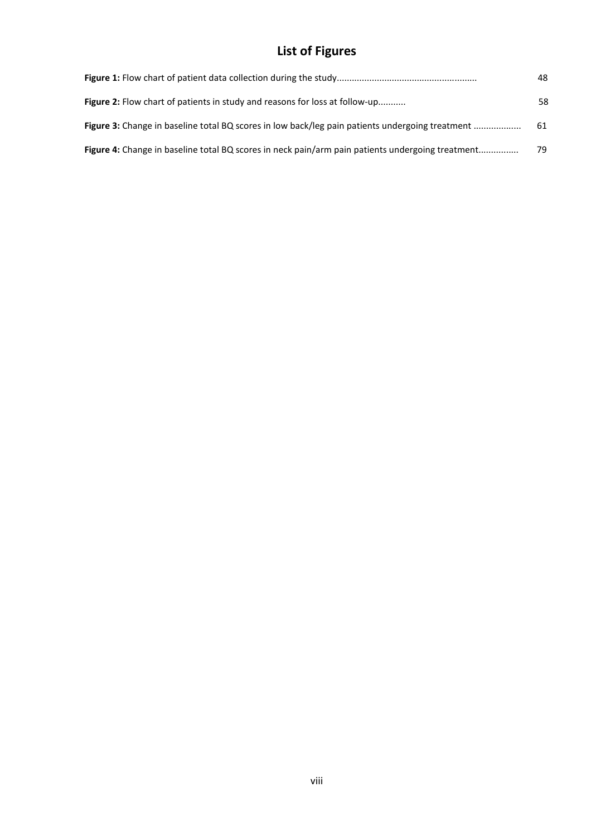# List of Figures

|                                                                                                  | 48 |
|--------------------------------------------------------------------------------------------------|----|
| <b>Figure 2:</b> Flow chart of patients in study and reasons for loss at follow-up               | 58 |
| Figure 3: Change in baseline total BQ scores in low back/leg pain patients undergoing treatment  | 61 |
| Figure 4: Change in baseline total BQ scores in neck pain/arm pain patients undergoing treatment | 79 |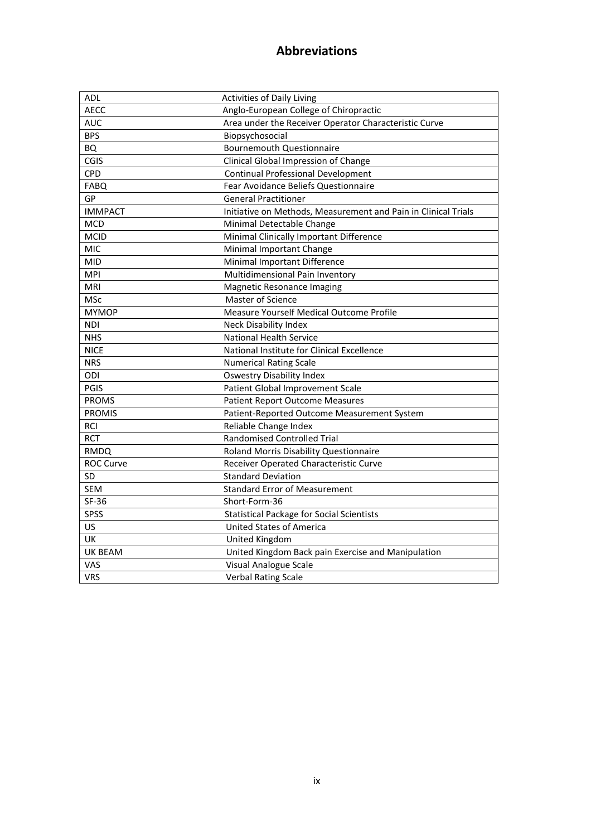## Abbreviations

| <b>ADL</b>       | <b>Activities of Daily Living</b>                              |
|------------------|----------------------------------------------------------------|
| AECC             | Anglo-European College of Chiropractic                         |
| <b>AUC</b>       | Area under the Receiver Operator Characteristic Curve          |
| <b>BPS</b>       | Biopsychosocial                                                |
| <b>BQ</b>        | <b>Bournemouth Questionnaire</b>                               |
| CGIS             | Clinical Global Impression of Change                           |
| CPD              | <b>Continual Professional Development</b>                      |
| <b>FABQ</b>      | Fear Avoidance Beliefs Questionnaire                           |
| GP               | <b>General Practitioner</b>                                    |
| <b>IMMPACT</b>   | Initiative on Methods, Measurement and Pain in Clinical Trials |
| <b>MCD</b>       | Minimal Detectable Change                                      |
| <b>MCID</b>      | Minimal Clinically Important Difference                        |
| MIC              | Minimal Important Change                                       |
| <b>MID</b>       | Minimal Important Difference                                   |
| <b>MPI</b>       | Multidimensional Pain Inventory                                |
| MRI              | Magnetic Resonance Imaging                                     |
| <b>MSc</b>       | Master of Science                                              |
| <b>MYMOP</b>     | Measure Yourself Medical Outcome Profile                       |
| <b>NDI</b>       | <b>Neck Disability Index</b>                                   |
| <b>NHS</b>       | <b>National Health Service</b>                                 |
| <b>NICE</b>      | National Institute for Clinical Excellence                     |
| <b>NRS</b>       | <b>Numerical Rating Scale</b>                                  |
| ODI              | <b>Oswestry Disability Index</b>                               |
| PGIS             | Patient Global Improvement Scale                               |
| <b>PROMS</b>     | <b>Patient Report Outcome Measures</b>                         |
| <b>PROMIS</b>    | Patient-Reported Outcome Measurement System                    |
| <b>RCI</b>       | Reliable Change Index                                          |
| <b>RCT</b>       | <b>Randomised Controlled Trial</b>                             |
| <b>RMDQ</b>      | Roland Morris Disability Questionnaire                         |
| <b>ROC Curve</b> | Receiver Operated Characteristic Curve                         |
| SD               | <b>Standard Deviation</b>                                      |
| <b>SEM</b>       | <b>Standard Error of Measurement</b>                           |
| SF-36            | Short-Form-36                                                  |
| SPSS             | <b>Statistical Package for Social Scientists</b>               |
| US               | <b>United States of America</b>                                |
| UK               | United Kingdom                                                 |
| <b>UK BEAM</b>   | United Kingdom Back pain Exercise and Manipulation             |
| VAS              | Visual Analogue Scale                                          |
| <b>VRS</b>       | <b>Verbal Rating Scale</b>                                     |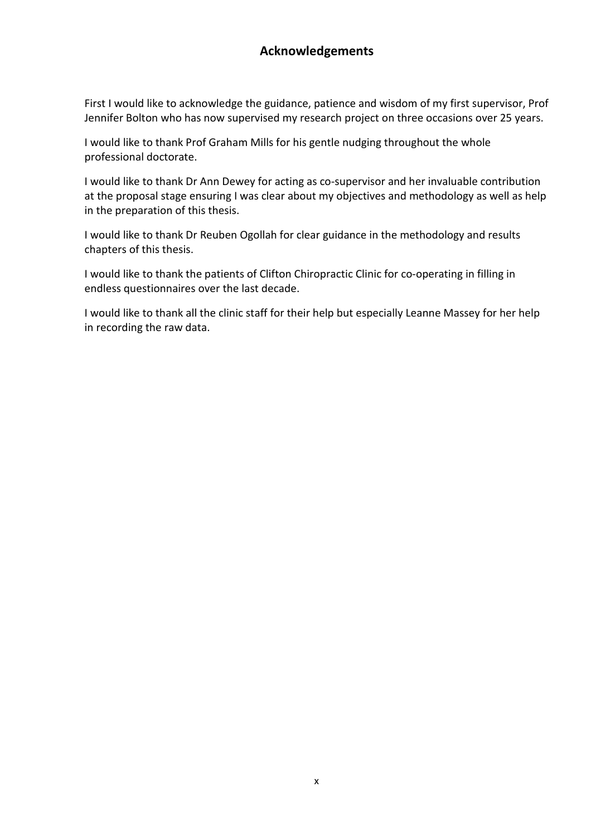## Acknowledgements

First I would like to acknowledge the guidance, patience and wisdom of my first supervisor, Prof Jennifer Bolton who has now supervised my research project on three occasions over 25 years.

I would like to thank Prof Graham Mills for his gentle nudging throughout the whole professional doctorate.

I would like to thank Dr Ann Dewey for acting as co-supervisor and her invaluable contribution at the proposal stage ensuring I was clear about my objectives and methodology as well as help in the preparation of this thesis.

I would like to thank Dr Reuben Ogollah for clear guidance in the methodology and results chapters of this thesis.

I would like to thank the patients of Clifton Chiropractic Clinic for co-operating in filling in endless questionnaires over the last decade.

I would like to thank all the clinic staff for their help but especially Leanne Massey for her help in recording the raw data.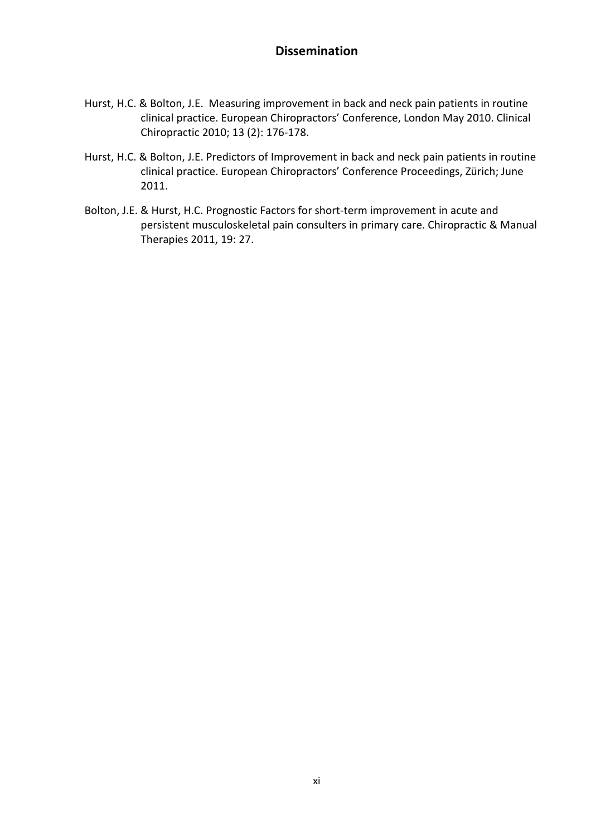### **Dissemination**

- Hurst, H.C. & Bolton, J.E. Measuring improvement in back and neck pain patients in routine clinical practice. European Chiropractors' Conference, London May 2010. Clinical Chiropractic 2010; 13 (2): 176-178.
- Hurst, H.C. & Bolton, J.E. Predictors of Improvement in back and neck pain patients in routine clinical practice. European Chiropractors' Conference Proceedings, Zürich; June 2011.
- Bolton, J.E. & Hurst, H.C. Prognostic Factors for short-term improvement in acute and persistent musculoskeletal pain consulters in primary care. Chiropractic & Manual Therapies 2011, 19: 27.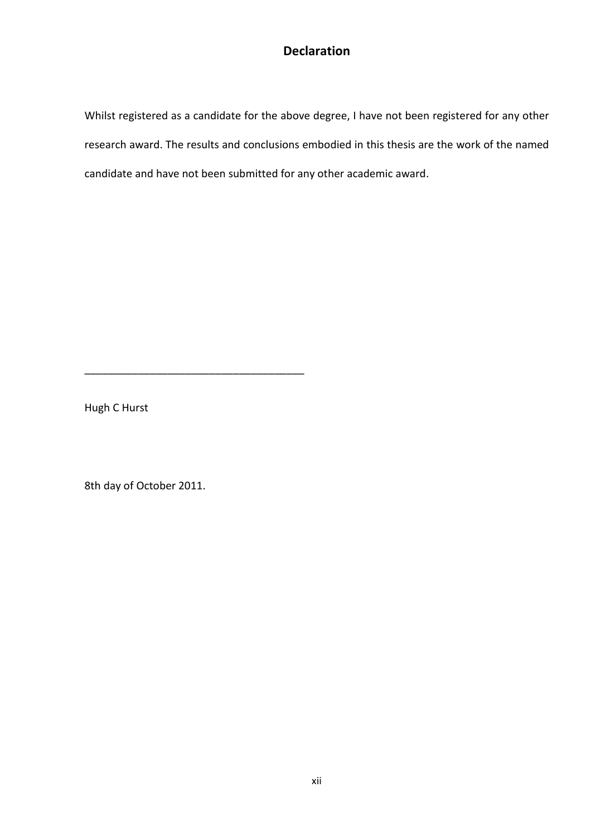## Declaration

Whilst registered as a candidate for the above degree, I have not been registered for any other research award. The results and conclusions embodied in this thesis are the work of the named candidate and have not been submitted for any other academic award.

Hugh C Hurst

8th day of October 2011.

\_\_\_\_\_\_\_\_\_\_\_\_\_\_\_\_\_\_\_\_\_\_\_\_\_\_\_\_\_\_\_\_\_\_\_\_\_